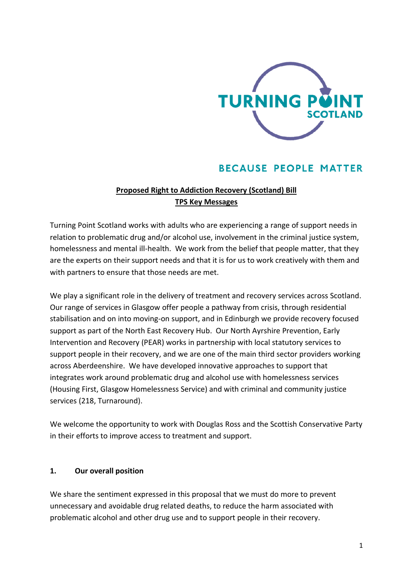

# **BECAUSE PEOPLE MATTER**

## **Proposed Right to Addiction Recovery (Scotland) Bill TPS Key Messages**

Turning Point Scotland works with adults who are experiencing a range of support needs in relation to problematic drug and/or alcohol use, involvement in the criminal justice system, homelessness and mental ill-health. We work from the belief that people matter, that they are the experts on their support needs and that it is for us to work creatively with them and with partners to ensure that those needs are met.

We play a significant role in the delivery of treatment and recovery services across Scotland. Our range of services in Glasgow offer people a pathway from crisis, through residential stabilisation and on into moving-on support, and in Edinburgh we provide recovery focused support as part of the North East Recovery Hub. Our North Ayrshire Prevention, Early Intervention and Recovery (PEAR) works in partnership with local statutory services to support people in their recovery, and we are one of the main third sector providers working across Aberdeenshire. We have developed innovative approaches to support that integrates work around problematic drug and alcohol use with homelessness services (Housing First, Glasgow Homelessness Service) and with criminal and community justice services (218, Turnaround).

We welcome the opportunity to work with Douglas Ross and the Scottish Conservative Party in their efforts to improve access to treatment and support.

#### **1. Our overall position**

We share the sentiment expressed in this proposal that we must do more to prevent unnecessary and avoidable drug related deaths, to reduce the harm associated with problematic alcohol and other drug use and to support people in their recovery.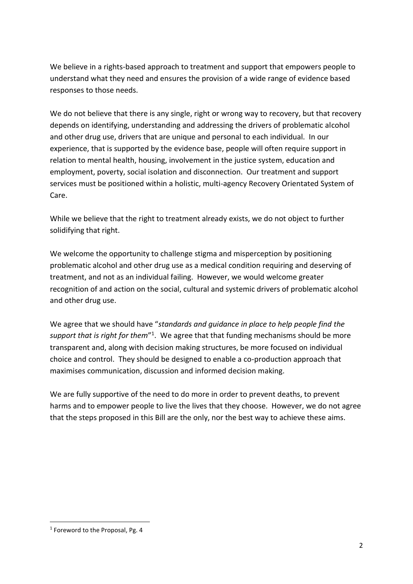We believe in a rights-based approach to treatment and support that empowers people to understand what they need and ensures the provision of a wide range of evidence based responses to those needs.

We do not believe that there is any single, right or wrong way to recovery, but that recovery depends on identifying, understanding and addressing the drivers of problematic alcohol and other drug use, drivers that are unique and personal to each individual. In our experience, that is supported by the evidence base, people will often require support in relation to mental health, housing, involvement in the justice system, education and employment, poverty, social isolation and disconnection. Our treatment and support services must be positioned within a holistic, multi-agency Recovery Orientated System of Care.

While we believe that the right to treatment already exists, we do not object to further solidifying that right.

We welcome the opportunity to challenge stigma and misperception by positioning problematic alcohol and other drug use as a medical condition requiring and deserving of treatment, and not as an individual failing. However, we would welcome greater recognition of and action on the social, cultural and systemic drivers of problematic alcohol and other drug use.

We agree that we should have "*standards and guidance in place to help people find the*  support that is right for them<sup>"1</sup>. We agree that that funding mechanisms should be more transparent and, along with decision making structures, be more focused on individual choice and control. They should be designed to enable a co-production approach that maximises communication, discussion and informed decision making.

We are fully supportive of the need to do more in order to prevent deaths, to prevent harms and to empower people to live the lives that they choose. However, we do not agree that the steps proposed in this Bill are the only, nor the best way to achieve these aims.

<sup>&</sup>lt;sup>1</sup> Foreword to the Proposal, Pg. 4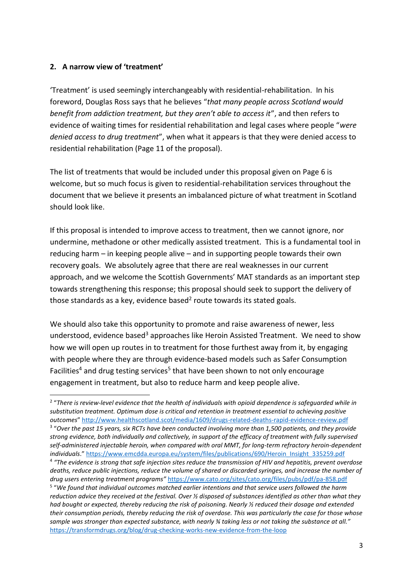#### **2. A narrow view of 'treatment'**

'Treatment' is used seemingly interchangeably with residential-rehabilitation. In his foreword, Douglas Ross says that he believes "*that many people across Scotland would benefit from addiction treatment, but they aren't able to access it*", and then refers to evidence of waiting times for residential rehabilitation and legal cases where people "*were denied access to drug treatment*", when what it appears is that they were denied access to residential rehabilitation (Page 11 of the proposal).

The list of treatments that would be included under this proposal given on Page 6 is welcome, but so much focus is given to residential-rehabilitation services throughout the document that we believe it presents an imbalanced picture of what treatment in Scotland should look like.

If this proposal is intended to improve access to treatment, then we cannot ignore, nor undermine, methadone or other medically assisted treatment. This is a fundamental tool in reducing harm – in keeping people alive – and in supporting people towards their own recovery goals. We absolutely agree that there are real weaknesses in our current approach, and we welcome the Scottish Governments' MAT standards as an important step towards strengthening this response; this proposal should seek to support the delivery of those standards as a key, evidence based<sup>2</sup> route towards its stated goals.

We should also take this opportunity to promote and raise awareness of newer, less understood, evidence based<sup>3</sup> approaches like Heroin Assisted Treatment. We need to show how we will open up routes in to treatment for those furthest away from it, by engaging with people where they are through evidence-based models such as Safer Consumption Facilities<sup>4</sup> and drug testing services<sup>5</sup> that have been shown to not only encourage engagement in treatment, but also to reduce harm and keep people alive.

<sup>&</sup>lt;sup>2</sup> "There is review-level evidence that the health of individuals with opioid dependence is safeguarded while in *substitution treatment. Optimum dose is critical and retention in treatment essential to achieving positive outcomes*" <http://www.healthscotland.scot/media/1609/drugs-related-deaths-rapid-evidence-review.pdf> 3 "*Over the past 15 years, six RCTs have been conducted involving more than 1,500 patients, and they provide strong evidence, both individually and collectively, in support of the efficacy of treatment with fully supervised self-administered injectable heroin, when compared with oral MMT, for long-term refractory heroin-dependent individuals*." [https://www.emcdda.europa.eu/system/files/publications/690/Heroin\\_Insight\\_335259.pdf](https://www.emcdda.europa.eu/system/files/publications/690/Heroin_Insight_335259.pdf)

<sup>4</sup> *"The evidence is strong that safe injection sites reduce the transmission of HIV and hepatitis, prevent overdose deaths, reduce public injections, reduce the volume of shared or discarded syringes, and increase the number of drug users entering treatment programs"* <https://www.cato.org/sites/cato.org/files/pubs/pdf/pa-858.pdf>

<sup>5</sup> "*We found that individual outcomes matched earlier intentions and that service users followed the harm reduction advice they received at the festival. Over ½ disposed of substances identified as other than what they had bought or expected, thereby reducing the risk of poisoning. Nearly ½ reduced their dosage and extended their consumption periods, thereby reducing the risk of overdose. This was particularly the case for those whose sample was stronger than expected substance, with nearly ¾ taking less or not taking the substance at all."* <https://transformdrugs.org/blog/drug-checking-works-new-evidence-from-the-loop>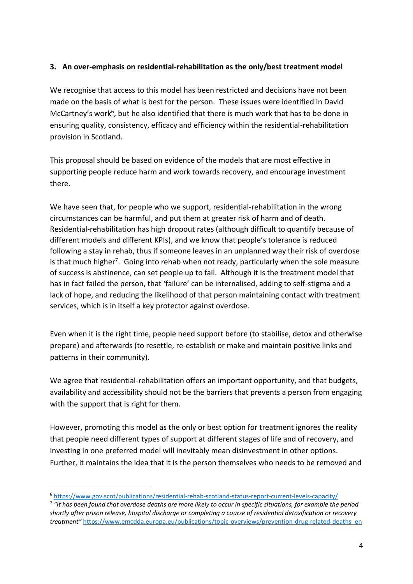#### **3. An over-emphasis on residential-rehabilitation as the only/best treatment model**

We recognise that access to this model has been restricted and decisions have not been made on the basis of what is best for the person. These issues were identified in David McCartney's work<sup>6</sup>, but he also identified that there is much work that has to be done in ensuring quality, consistency, efficacy and efficiency within the residential-rehabilitation provision in Scotland.

This proposal should be based on evidence of the models that are most effective in supporting people reduce harm and work towards recovery, and encourage investment there.

We have seen that, for people who we support, residential-rehabilitation in the wrong circumstances can be harmful, and put them at greater risk of harm and of death. Residential-rehabilitation has high dropout rates (although difficult to quantify because of different models and different KPIs), and we know that people's tolerance is reduced following a stay in rehab, thus if someone leaves in an unplanned way their risk of overdose is that much higher<sup>7</sup>. Going into rehab when not ready, particularly when the sole measure of success is abstinence, can set people up to fail. Although it is the treatment model that has in fact failed the person, that 'failure' can be internalised, adding to self-stigma and a lack of hope, and reducing the likelihood of that person maintaining contact with treatment services, which is in itself a key protector against overdose.

Even when it is the right time, people need support before (to stabilise, detox and otherwise prepare) and afterwards (to resettle, re-establish or make and maintain positive links and patterns in their community).

We agree that residential-rehabilitation offers an important opportunity, and that budgets, availability and accessibility should not be the barriers that prevents a person from engaging with the support that is right for them.

However, promoting this model as the only or best option for treatment ignores the reality that people need different types of support at different stages of life and of recovery, and investing in one preferred model will inevitably mean disinvestment in other options. Further, it maintains the idea that it is the person themselves who needs to be removed and

<sup>6</sup> <https://www.gov.scot/publications/residential-rehab-scotland-status-report-current-levels-capacity/>

<sup>&</sup>lt;sup>7</sup> "It has been found that overdose deaths are more likely to occur in specific situations, for example the period *shortly after prison release, hospital discharge or completing a course of residential detoxification or recovery treatment"* [https://www.emcdda.europa.eu/publications/topic-overviews/prevention-drug-related-deaths\\_en](https://www.emcdda.europa.eu/publications/topic-overviews/prevention-drug-related-deaths_en)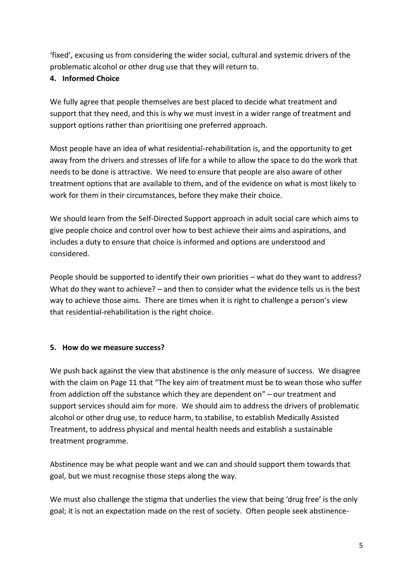'fixed', excusing us from considering the wider social, cultural and systemic drivers of the problematic alcohol or other drug use that they will return to.

#### **4. Informed Choice**

We fully agree that people themselves are best placed to decide what treatment and support that they need, and this is why we must invest in a wider range of treatment and support options rather than prioritising one preferred approach.

Most people have an idea of what residential-rehabilitation is, and the opportunity to get away from the drivers and stresses of life for a while to allow the space to do the work that needs to be done is attractive. We need to ensure that people are also aware of other treatment options that are available to them, and of the evidence on what is most likely to work for them in their circumstances, before they make their choice.

We should learn from the Self-Directed Support approach in adult social care which aims to give people choice and control over how to best achieve their aims and aspirations, and includes a duty to ensure that choice is informed and options are understood and considered.

People should be supported to identify their own priorities – what do they want to address? What do they want to achieve? – and then to consider what the evidence tells us is the best way to achieve those aims. There are times when it is right to challenge a person's view that residential-rehabilitation is the right choice.

#### **5. How do we measure success?**

We push back against the view that abstinence is the only measure of success. We disagree with the claim on Page 11 that "The key aim of treatment must be to wean those who suffer from addiction off the substance which they are dependent on" – our treatment and support services should aim for more. We should aim to address the drivers of problematic alcohol or other drug use, to reduce harm, to stabilise, to establish Medically Assisted Treatment, to address physical and mental health needs and establish a sustainable treatment programme.

Abstinence may be what people want and we can and should support them towards that goal, but we must recognise those steps along the way.

We must also challenge the stigma that underlies the view that being 'drug free' is the only goal; it is not an expectation made on the rest of society. Often people seek abstinence